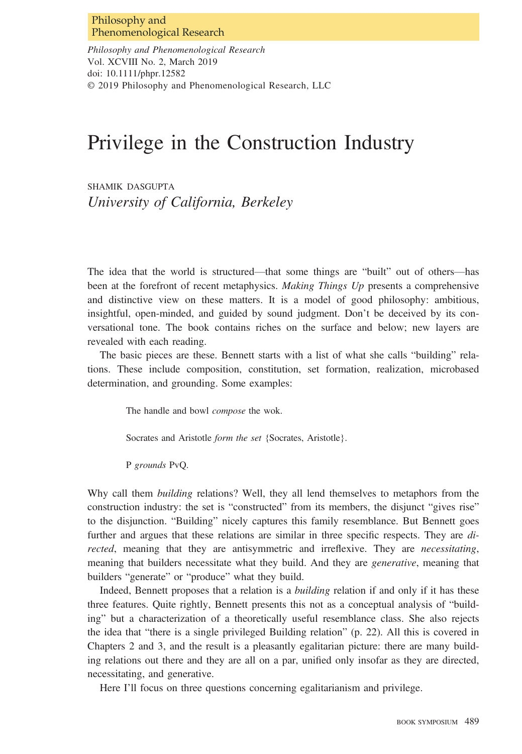Philosophy and Phenomenological Research Vol. XCVIII No. 2, March 2019 doi: 10.1111/phpr.12582 © 2019 Philosophy and Phenomenological Research, LLC

# Privilege in the Construction Industry

SHAMIK DASGUPTA University of California, Berkeley

The idea that the world is structured—that some things are "built" out of others—has been at the forefront of recent metaphysics. Making Things Up presents a comprehensive and distinctive view on these matters. It is a model of good philosophy: ambitious, insightful, open-minded, and guided by sound judgment. Don't be deceived by its conversational tone. The book contains riches on the surface and below; new layers are revealed with each reading.

The basic pieces are these. Bennett starts with a list of what she calls "building" relations. These include composition, constitution, set formation, realization, microbased determination, and grounding. Some examples:

The handle and bowl compose the wok.

Socrates and Aristotle form the set {Socrates, Aristotle}.

P grounds PvQ.

Why call them *building* relations? Well, they all lend themselves to metaphors from the construction industry: the set is "constructed" from its members, the disjunct "gives rise" to the disjunction. "Building" nicely captures this family resemblance. But Bennett goes further and argues that these relations are similar in three specific respects. They are directed, meaning that they are antisymmetric and irreflexive. They are necessitating, meaning that builders necessitate what they build. And they are *generative*, meaning that builders "generate" or "produce" what they build.

Indeed, Bennett proposes that a relation is a building relation if and only if it has these three features. Quite rightly, Bennett presents this not as a conceptual analysis of "building" but a characterization of a theoretically useful resemblance class. She also rejects the idea that "there is a single privileged Building relation" (p. 22). All this is covered in Chapters 2 and 3, and the result is a pleasantly egalitarian picture: there are many building relations out there and they are all on a par, unified only insofar as they are directed, necessitating, and generative.

Here I'll focus on three questions concerning egalitarianism and privilege.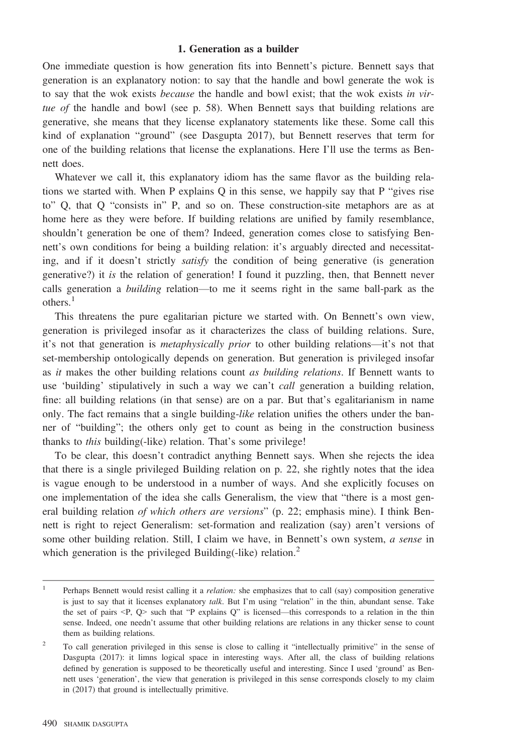### 1. Generation as a builder

One immediate question is how generation fits into Bennett's picture. Bennett says that generation is an explanatory notion: to say that the handle and bowl generate the wok is to say that the wok exists *because* the handle and bowl exist; that the wok exists in virtue of the handle and bowl (see p. 58). When Bennett says that building relations are generative, she means that they license explanatory statements like these. Some call this kind of explanation "ground" (see Dasgupta 2017), but Bennett reserves that term for one of the building relations that license the explanations. Here I'll use the terms as Bennett does.

Whatever we call it, this explanatory idiom has the same flavor as the building relations we started with. When P explains Q in this sense, we happily say that P "gives rise to" Q, that Q "consists in" P, and so on. These construction-site metaphors are as at home here as they were before. If building relations are unified by family resemblance, shouldn't generation be one of them? Indeed, generation comes close to satisfying Bennett's own conditions for being a building relation: it's arguably directed and necessitating, and if it doesn't strictly *satisfy* the condition of being generative (is generation generative?) it is the relation of generation! I found it puzzling, then, that Bennett never calls generation a building relation—to me it seems right in the same ball-park as the others.<sup>1</sup>

This threatens the pure egalitarian picture we started with. On Bennett's own view, generation is privileged insofar as it characterizes the class of building relations. Sure, it's not that generation is metaphysically prior to other building relations—it's not that set-membership ontologically depends on generation. But generation is privileged insofar as *it* makes the other building relations count *as building relations*. If Bennett wants to use 'building' stipulatively in such a way we can't call generation a building relation, fine: all building relations (in that sense) are on a par. But that's egalitarianism in name only. The fact remains that a single building-like relation unifies the others under the banner of "building"; the others only get to count as being in the construction business thanks to this building(-like) relation. That's some privilege!

To be clear, this doesn't contradict anything Bennett says. When she rejects the idea that there is a single privileged Building relation on p. 22, she rightly notes that the idea is vague enough to be understood in a number of ways. And she explicitly focuses on one implementation of the idea she calls Generalism, the view that "there is a most general building relation of which others are versions" (p. 22; emphasis mine). I think Bennett is right to reject Generalism: set-formation and realization (say) aren't versions of some other building relation. Still, I claim we have, in Bennett's own system, a sense in which generation is the privileged Building(-like) relation. $<sup>2</sup>$ </sup>

<sup>&</sup>lt;sup>1</sup> Perhaps Bennett would resist calling it a *relation*: she emphasizes that to call (say) composition generative is just to say that it licenses explanatory *talk*. But I'm using "relation" in the thin, abundant sense. Take the set of pairs  $\langle P, Q \rangle$  such that "P explains Q" is licensed—this corresponds to a relation in the thin sense. Indeed, one needn't assume that other building relations are relations in any thicker sense to count them as building relations.

<sup>&</sup>lt;sup>2</sup> To call generation privileged in this sense is close to calling it "intellectually primitive" in the sense of Dasgupta (2017): it limns logical space in interesting ways. After all, the class of building relations defined by generation is supposed to be theoretically useful and interesting. Since I used 'ground' as Bennett uses 'generation', the view that generation is privileged in this sense corresponds closely to my claim in (2017) that ground is intellectually primitive.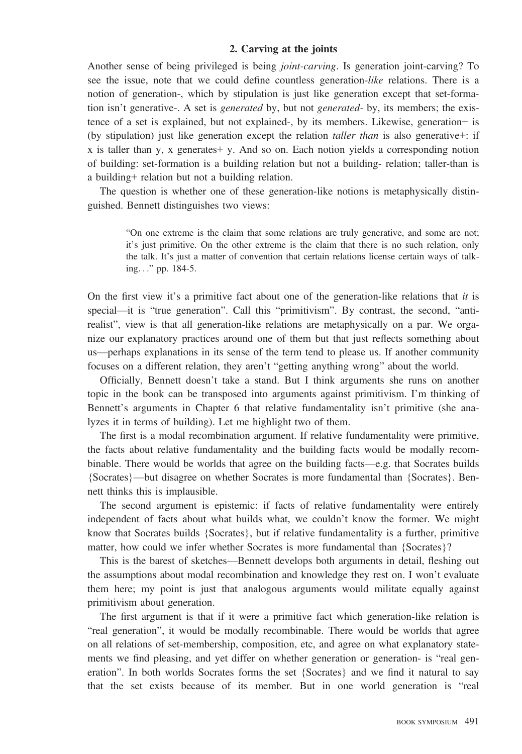### 2. Carving at the joints

Another sense of being privileged is being joint-carving. Is generation joint-carving? To see the issue, note that we could define countless generation-like relations. There is a notion of generation-, which by stipulation is just like generation except that set-formation isn't generative-. A set is *generated* by, but not *generated*- by, its members; the existence of a set is explained, but not explained-, by its members. Likewise, generation+ is (by stipulation) just like generation except the relation taller than is also generative+: if  $x$  is taller than y, x generates  $+y$ . And so on. Each notion yields a corresponding notion of building: set-formation is a building relation but not a building- relation; taller-than is a building+ relation but not a building relation.

The question is whether one of these generation-like notions is metaphysically distinguished. Bennett distinguishes two views:

"On one extreme is the claim that some relations are truly generative, and some are not; it's just primitive. On the other extreme is the claim that there is no such relation, only the talk. It's just a matter of convention that certain relations license certain ways of talking..." pp. 184-5.

On the first view it's a primitive fact about one of the generation-like relations that it is special—it is "true generation". Call this "primitivism". By contrast, the second, "antirealist", view is that all generation-like relations are metaphysically on a par. We organize our explanatory practices around one of them but that just reflects something about us—perhaps explanations in its sense of the term tend to please us. If another community focuses on a different relation, they aren't "getting anything wrong" about the world.

Officially, Bennett doesn't take a stand. But I think arguments she runs on another topic in the book can be transposed into arguments against primitivism. I'm thinking of Bennett's arguments in Chapter 6 that relative fundamentality isn't primitive (she analyzes it in terms of building). Let me highlight two of them.

The first is a modal recombination argument. If relative fundamentality were primitive, the facts about relative fundamentality and the building facts would be modally recombinable. There would be worlds that agree on the building facts—e.g. that Socrates builds {Socrates}—but disagree on whether Socrates is more fundamental than {Socrates}. Bennett thinks this is implausible.

The second argument is epistemic: if facts of relative fundamentality were entirely independent of facts about what builds what, we couldn't know the former. We might know that Socrates builds {Socrates}, but if relative fundamentality is a further, primitive matter, how could we infer whether Socrates is more fundamental than {Socrates}?

This is the barest of sketches—Bennett develops both arguments in detail, fleshing out the assumptions about modal recombination and knowledge they rest on. I won't evaluate them here; my point is just that analogous arguments would militate equally against primitivism about generation.

The first argument is that if it were a primitive fact which generation-like relation is "real generation", it would be modally recombinable. There would be worlds that agree on all relations of set-membership, composition, etc, and agree on what explanatory statements we find pleasing, and yet differ on whether generation or generation- is "real generation". In both worlds Socrates forms the set {Socrates} and we find it natural to say that the set exists because of its member. But in one world generation is "real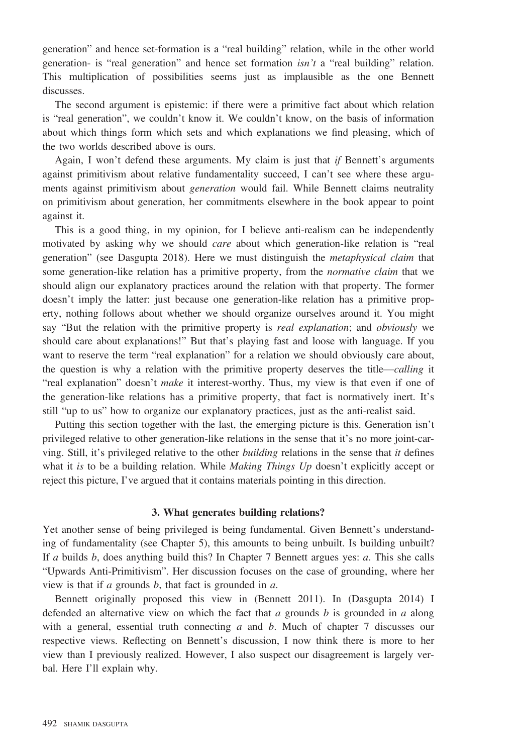generation" and hence set-formation is a "real building" relation, while in the other world generation- is "real generation" and hence set formation  $\sin't$  a "real building" relation. This multiplication of possibilities seems just as implausible as the one Bennett discusses.

The second argument is epistemic: if there were a primitive fact about which relation is "real generation", we couldn't know it. We couldn't know, on the basis of information about which things form which sets and which explanations we find pleasing, which of the two worlds described above is ours.

Again, I won't defend these arguments. My claim is just that if Bennett's arguments against primitivism about relative fundamentality succeed, I can't see where these arguments against primitivism about *generation* would fail. While Bennett claims neutrality on primitivism about generation, her commitments elsewhere in the book appear to point against it.

This is a good thing, in my opinion, for I believe anti-realism can be independently motivated by asking why we should *care* about which generation-like relation is "real generation" (see Dasgupta 2018). Here we must distinguish the metaphysical claim that some generation-like relation has a primitive property, from the *normative claim* that we should align our explanatory practices around the relation with that property. The former doesn't imply the latter: just because one generation-like relation has a primitive property, nothing follows about whether we should organize ourselves around it. You might say "But the relation with the primitive property is *real explanation*; and *obviously* we should care about explanations!" But that's playing fast and loose with language. If you want to reserve the term "real explanation" for a relation we should obviously care about, the question is why a relation with the primitive property deserves the title—calling it "real explanation" doesn't *make* it interest-worthy. Thus, my view is that even if one of the generation-like relations has a primitive property, that fact is normatively inert. It's still "up to us" how to organize our explanatory practices, just as the anti-realist said.

Putting this section together with the last, the emerging picture is this. Generation isn't privileged relative to other generation-like relations in the sense that it's no more joint-carving. Still, it's privileged relative to the other *building* relations in the sense that *it* defines what it is to be a building relation. While *Making Things Up* doesn't explicitly accept or reject this picture, I've argued that it contains materials pointing in this direction.

#### 3. What generates building relations?

Yet another sense of being privileged is being fundamental. Given Bennett's understanding of fundamentality (see Chapter 5), this amounts to being unbuilt. Is building unbuilt? If a builds b, does anything build this? In Chapter 7 Bennett argues yes: a. This she calls "Upwards Anti-Primitivism". Her discussion focuses on the case of grounding, where her view is that if  $a$  grounds  $b$ , that fact is grounded in  $a$ .

Bennett originally proposed this view in (Bennett 2011). In (Dasgupta 2014) I defended an alternative view on which the fact that a grounds b is grounded in a along with a general, essential truth connecting  $a$  and  $b$ . Much of chapter 7 discusses our respective views. Reflecting on Bennett's discussion, I now think there is more to her view than I previously realized. However, I also suspect our disagreement is largely verbal. Here I'll explain why.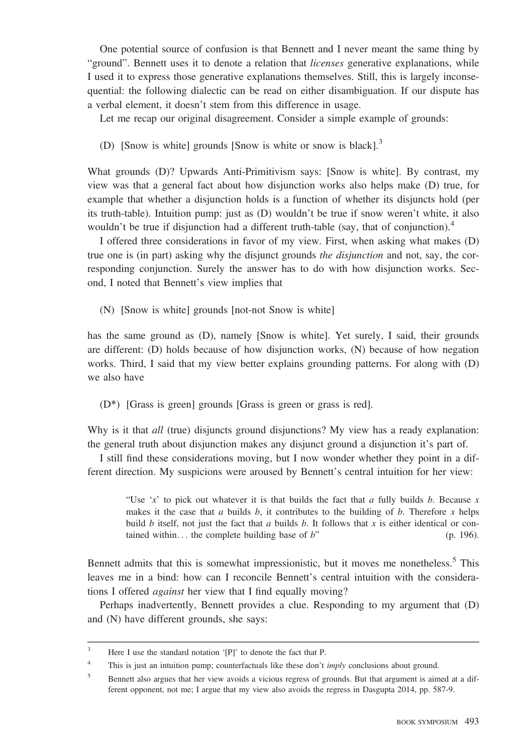One potential source of confusion is that Bennett and I never meant the same thing by "ground". Bennett uses it to denote a relation that *licenses* generative explanations, while I used it to express those generative explanations themselves. Still, this is largely inconsequential: the following dialectic can be read on either disambiguation. If our dispute has a verbal element, it doesn't stem from this difference in usage.

Let me recap our original disagreement. Consider a simple example of grounds:

(D) [Snow is white] grounds [Snow is white or snow is black].<sup>3</sup>

What grounds (D)? Upwards Anti-Primitivism says: [Snow is white]. By contrast, my view was that a general fact about how disjunction works also helps make (D) true, for example that whether a disjunction holds is a function of whether its disjuncts hold (per its truth-table). Intuition pump: just as (D) wouldn't be true if snow weren't white, it also wouldn't be true if disjunction had a different truth-table (say, that of conjunction).<sup>4</sup>

I offered three considerations in favor of my view. First, when asking what makes (D) true one is (in part) asking why the disjunct grounds *the disjunction* and not, say, the corresponding conjunction. Surely the answer has to do with how disjunction works. Second, I noted that Bennett's view implies that

(N) [Snow is white] grounds [not-not Snow is white]

has the same ground as (D), namely [Snow is white]. Yet surely, I said, their grounds are different: (D) holds because of how disjunction works, (N) because of how negation works. Third, I said that my view better explains grounding patterns. For along with (D) we also have

(D\*) [Grass is green] grounds [Grass is green or grass is red].

Why is it that *all* (true) disjuncts ground disjunctions? My view has a ready explanation: the general truth about disjunction makes any disjunct ground a disjunction it's part of.

I still find these considerations moving, but I now wonder whether they point in a different direction. My suspicions were aroused by Bennett's central intuition for her view:

"Use 'x' to pick out whatever it is that builds the fact that a fully builds b. Because x makes it the case that a builds  $b$ , it contributes to the building of  $b$ . Therefore x helps build b itself, not just the fact that a builds b. It follows that x is either identical or contained within... the complete building base of  $b$ " (p. 196).

Bennett admits that this is somewhat impressionistic, but it moves me nonetheless.<sup>5</sup> This leaves me in a bind: how can I reconcile Bennett's central intuition with the considerations I offered against her view that I find equally moving?

Perhaps inadvertently, Bennett provides a clue. Responding to my argument that (D) and (N) have different grounds, she says:

<sup>&</sup>lt;sup>3</sup> Here I use the standard notation '[P]' to denote the fact that P.

<sup>&</sup>lt;sup>4</sup> This is just an intuition pump; counterfactuals like these don't *imply* conclusions about ground.

<sup>&</sup>lt;sup>5</sup> Bennett also argues that her view avoids a vicious regress of grounds. But that argument is aimed at a different opponent, not me; I argue that my view also avoids the regress in Dasgupta 2014, pp. 587-9.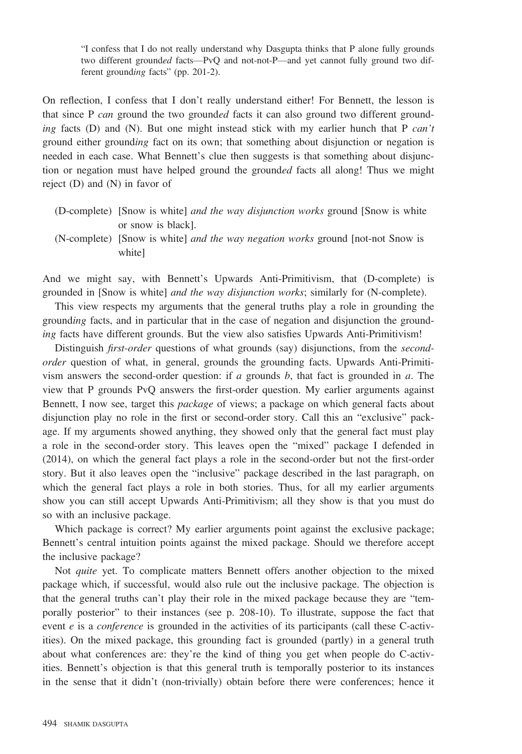"I confess that I do not really understand why Dasgupta thinks that P alone fully grounds two different grounded facts—PvQ and not-not-P—and yet cannot fully ground two different grounding facts" (pp. 201-2).

On reflection, I confess that I don't really understand either! For Bennett, the lesson is that since P can ground the two grounded facts it can also ground two different grounding facts (D) and (N). But one might instead stick with my earlier hunch that P  $can't$ ground either grounding fact on its own; that something about disjunction or negation is needed in each case. What Bennett's clue then suggests is that something about disjunction or negation must have helped ground the grounded facts all along! Thus we might reject (D) and (N) in favor of

- (D-complete) [Snow is white] and the way disjunction works ground [Snow is white or snow is black].
- (N-complete) [Snow is white] and the way negation works ground [not-not Snow is white]

And we might say, with Bennett's Upwards Anti-Primitivism, that (D-complete) is grounded in [Snow is white] and the way disjunction works; similarly for (N-complete).

This view respects my arguments that the general truths play a role in grounding the grounding facts, and in particular that in the case of negation and disjunction the grounding facts have different grounds. But the view also satisfies Upwards Anti-Primitivism!

Distinguish *first-order* questions of what grounds (say) disjunctions, from the *second*order question of what, in general, grounds the grounding facts. Upwards Anti-Primitivism answers the second-order question: if  $a$  grounds  $b$ , that fact is grounded in  $a$ . The view that P grounds PvQ answers the first-order question. My earlier arguments against Bennett, I now see, target this package of views; a package on which general facts about disjunction play no role in the first or second-order story. Call this an "exclusive" package. If my arguments showed anything, they showed only that the general fact must play a role in the second-order story. This leaves open the "mixed" package I defended in (2014), on which the general fact plays a role in the second-order but not the first-order story. But it also leaves open the "inclusive" package described in the last paragraph, on which the general fact plays a role in both stories. Thus, for all my earlier arguments show you can still accept Upwards Anti-Primitivism; all they show is that you must do so with an inclusive package.

Which package is correct? My earlier arguments point against the exclusive package; Bennett's central intuition points against the mixed package. Should we therefore accept the inclusive package?

Not quite yet. To complicate matters Bennett offers another objection to the mixed package which, if successful, would also rule out the inclusive package. The objection is that the general truths can't play their role in the mixed package because they are "temporally posterior" to their instances (see p. 208-10). To illustrate, suppose the fact that event  $e$  is a *conference* is grounded in the activities of its participants (call these C-activities). On the mixed package, this grounding fact is grounded (partly) in a general truth about what conferences are: they're the kind of thing you get when people do C-activities. Bennett's objection is that this general truth is temporally posterior to its instances in the sense that it didn't (non-trivially) obtain before there were conferences; hence it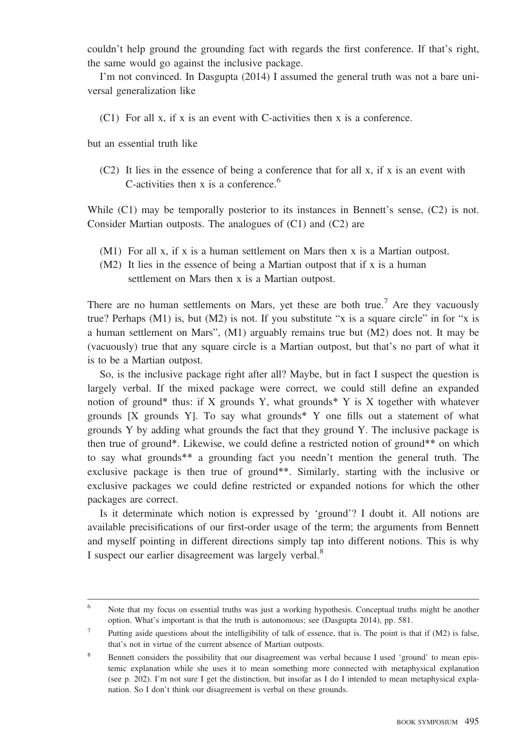couldn't help ground the grounding fact with regards the first conference. If that's right, the same would go against the inclusive package.

I'm not convinced. In Dasgupta (2014) I assumed the general truth was not a bare universal generalization like

(C1) For all x, if x is an event with C-activities then x is a conference.

but an essential truth like

 $(C2)$  It lies in the essence of being a conference that for all x, if x is an event with C-activities then x is a conference.<sup>6</sup>

While  $(C1)$  may be temporally posterior to its instances in Bennett's sense,  $(C2)$  is not. Consider Martian outposts. The analogues of (C1) and (C2) are

- (M1) For all x, if x is a human settlement on Mars then x is a Martian outpost.
- (M2) It lies in the essence of being a Martian outpost that if x is a human settlement on Mars then x is a Martian outpost.

There are no human settlements on Mars, yet these are both true.<sup>7</sup> Are they vacuously true? Perhaps  $(M1)$  is, but  $(M2)$  is not. If you substitute "x is a square circle" in for "x is a human settlement on Mars", (M1) arguably remains true but (M2) does not. It may be (vacuously) true that any square circle is a Martian outpost, but that's no part of what it is to be a Martian outpost.

So, is the inclusive package right after all? Maybe, but in fact I suspect the question is largely verbal. If the mixed package were correct, we could still define an expanded notion of ground\* thus: if  $X$  grounds  $Y$ , what grounds\*  $Y$  is  $X$  together with whatever grounds [X grounds Y]. To say what grounds\* Y one fills out a statement of what grounds Y by adding what grounds the fact that they ground Y. The inclusive package is then true of ground\*. Likewise, we could define a restricted notion of ground\*\* on which to say what grounds\*\* a grounding fact you needn't mention the general truth. The exclusive package is then true of ground\*\*. Similarly, starting with the inclusive or exclusive packages we could define restricted or expanded notions for which the other packages are correct.

Is it determinate which notion is expressed by 'ground'? I doubt it. All notions are available precisifications of our first-order usage of the term; the arguments from Bennett and myself pointing in different directions simply tap into different notions. This is why I suspect our earlier disagreement was largely verbal.<sup>8</sup>

<sup>&</sup>lt;sup>6</sup> Note that my focus on essential truths was just a working hypothesis. Conceptual truths might be another option. What's important is that the truth is autonomous; see (Dasgupta 2014), pp. 581.

Putting aside questions about the intelligibility of talk of essence, that is. The point is that if (M2) is false, that's not in virtue of the current absence of Martian outposts.

<sup>8</sup> Bennett considers the possibility that our disagreement was verbal because I used 'ground' to mean epistemic explanation while she uses it to mean something more connected with metaphysical explanation (see p. 202). I'm not sure I get the distinction, but insofar as I do I intended to mean metaphysical explanation. So I don't think our disagreement is verbal on these grounds.